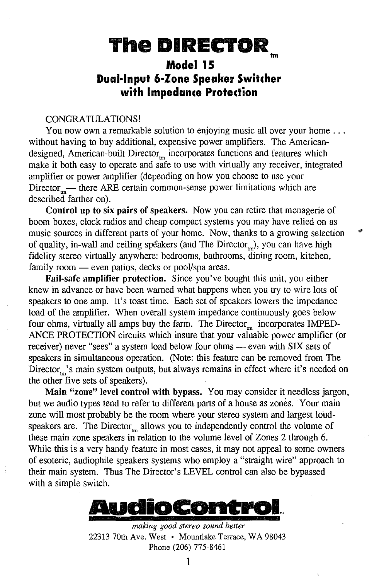# **The DIRECTOR**  Im

## **Model 15 Dual·lnput 6·Zone Speaker Switcher with Impedance Protection**

#### CONGRATULATIONS!

You now own a remarkable solution to enjoying music all over your home ... without having to buy additional, expensive power amplifiers. The Americandesigned, American-built Director<sub>m</sub> incorporates functions and features which make it both easy to operate and safe to use with virtually any receiver, integrated amplifier or power amplifier (depending on how you choose to use your Director\_— there ARE certain common-sense power limitations which are described farther on).

Control up to six pairs of speakers. Now you can retire that menagerie of boom boxes, clock radios and cheap compact systems you may have relied on as music sources in different parts of your home. Now, thanks to a growing selection of quality, in-wall and ceiling speakers (and The Director, ), you can have high fidelity stereo virtually anywhere: bedrooms, bathrooms, dining room, kitchen, family room — even patios, decks or pool/spa areas.

Fail-safe amplifier protection. Since you've bought this unit, you either knew in advance or have been warned what happens when you try to wire lots of speakers to one amp. It's toast time. Each set of speakers lowers the impedance load of the amplifier. When overall system impedance continuously goes below four ohms, virtually all amps buy the farm. The Director $_{\rm{m}}$  incorporates IMPED-ANCE PROTECTION circuits which insure that your valuable power amplifier (or receiver) never "sees" a system load below four ohms — even with SIX sets of speakers in simultaneous operation. (Note: this feature can be removed from The Director<sub>th</sub>'s main system outputs, but always remains in effect where it's needed on the other five sets of speakers).

Main "zone" level control with bypass. You may consider it needless jargon, but we audio types tend to refer to different parts of a house as zones. Your main zone will most probably be the room where your stereo system and largest loudspeakers are. The Director $_m$  allows you to independently control the volume of these main zone speakers in relation to the volume level of Zones 2 through 6. While this is a very handy feature in most cases, it may not appeal to some owners of esoteric, audiophile speakers systems who employ a "straight wire" approach to their main system. Thus The Director's LEVEL control can also be bypassed with a simple switch.



*making good stereo sound better*  22313 70th Ave. West • Mountlake Terrace, WA 98043 Phone (206) 775-8461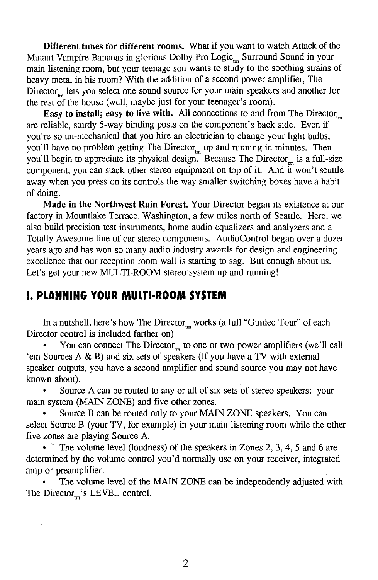Different tunes for different rooms. What if you want to watch Attack of the Mutant Vampire Bananas in glorious Dolby Pro Logic<sub>ing</sub> Surround Sound in your main listening room, but your teenage son wants to study to the soothing strains of heavy metal in his room? With the addition of a second power amplifier, The Director\_lets you select one sound source for your main speakers and another for the rest of the house (well, maybe just for your teenager's room).

Easy to install; easy to live with. All connections to and from The Director<sub>m</sub> are reliable, sturdy 5-way binding posts on the component's back side. Even if you're so un-mechanical that you hire an electrician to change your light bulbs, you'll have no problem getting The Director<sub>m</sub> up and running in minutes. Then you'll begin to appreciate its physical design. Because The Director is a full-size component, you can stack other stereo equipment on top of it. And it won't scuttle away when you press on its controls the way smaller switching boxes have a habit of doing.

Made in the Northwest Rain Forest. Your Director began its existence at our factory in Mountlake Terrace, Washington, a few miles north of Seattle. Here, we also build precision test instruments, home audio equalizers and analyzers and a Totally Awesome line of car stereo components. AudioControl began over a dozen years ago and has won so many audio industry awards for design and engineering excellence that our reception room wall is starting to sag. But enough about us. Let's get your new MULTI-ROOM stereo system up and running!

## I. **PLANNING YOUR MULTl·ROOM SYSTEM**

In a nutshell, here's how The Director<sub>m</sub> works (a full "Guided Tour" of each Director control is included farther on)

You can connect The Director<sub>m</sub> to one or two power amplifiers (we'll call 'em Sources A & B) and six sets of speakers (If you have a TV with external speaker outputs, you have a second amplifier and sound source you may not have known about).

Source A can be routed to any or all of six sets of stereo speakers: your main system (MAIN ZONE) and five other zones.

Source B can be routed only to your MAIN ZONE speakers. You can select Source B (your TV, for example) in your main listening room while the other five zones are playing Source A.

• The volume level (loudness) of the speakers in Zones 2, 3, 4, 5 and 6 are determined by the volume control you'd normally use on your receiver, integrated amp or preamplifier.

The volume level of the MAIN ZONE can be independently adjusted with The Director $\mathbf{m}$ 's LEVEL control.

2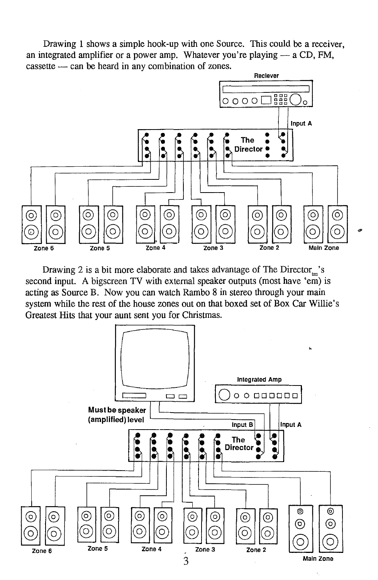Drawing 1 shows a simple hook-up with one Source. This could be a receiver, an integrated amplifier or a power amp. Whatever you're playing  $-$  a CD, FM,  $\cos$  cassette  $\cos$  can be heard in any combination of zones.



Drawing 2 is a bit more elaborate and takes advantage of The Director<sub>m</sub>'s second input. A bigscreen TV with external speaker outputs (most have 'em) is acting as Source B. Now you can watch Rambo 8 in stereo through your main system while the rest of the house zones out on that boxed set of Box Car Willie's Greatest Hits that your aunt sent you for Christmas.

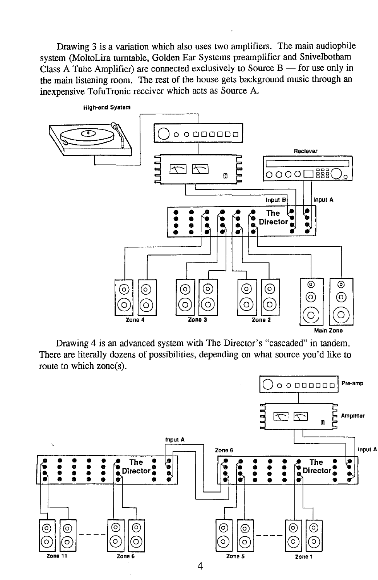Drawing 3 is a variation which also uses two amplifiers. The main audiophile system (MoltoLira turntable, Golden Ear Systems preamplifier and Snivelbotham Class A Tube Amplifier) are connected exclusively to Source  $B$  - for use only in the main listening room. The rest of the house gets background music through an inexpensive TofuTronic receiver which acts as Source A.



Drawing 4 is an advanced system with The Director's "cascaded" in tandem. There are literally dozens of possibilities, depending on what source you'd like to route to which zone(s).

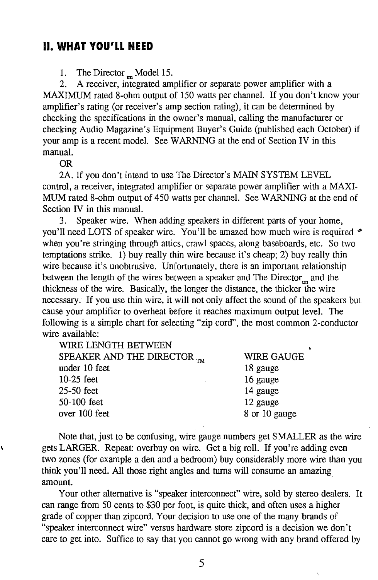## II. **WHAT YOU'LL NEED**

1. The Director  $_m$  Model 15.

2. A receiver, integrated amplifier or separate power amplifier with a MAXIMUM rated 8-ohm output of 150 watts per channel. If you don't know your amplifier's rating (or receiver's amp section rating), it can be determined by checking the specifications in the owner's manual, calling the manufacturer or checking Audio Magazine's Equipment Buyer's Guide (published each October) if your amp is a recent model. See WARNING at the end of Section IV in this manual.

OR

2A. If you don't intend to use The Director's MAIN SYSTEM LEVEL control, a receiver, integrated amplifier or separate power amplifier with a MAXI-MUM rated 8-ohm output of 450 watts per channel. See WARNING at the end of Section IV in this manual.

3. Speaker wire. When adding speakers in different parts of your home, you'll need LOTS of speaker wire. You'll be amazed how much wire is required  $\bullet$ when you're stringing through attics, crawl spaces, along baseboards, etc. So two temptations strike. 1) buy really thin wire because it's cheap; 2) buy really thin wire because it's unobtrusive. Unfortunately, there is an important relationship between the length of the wires between a speaker and The Director<sub>m</sub> and the thickness of the wire. Basically, the longer the distance, the thicker the wire necessary. If you use thin wire, it will not only affect the sound of the speakers but cause your amplifier to overheat before it reaches maximum output level. The following is a simple chart for selecting "zip cord", the most common 2-conductor wire available:

| WIRE LENGTH BETWEEN                    |               |
|----------------------------------------|---------------|
| SPEAKER AND THE DIRECTOR <sub>TM</sub> | WIRE GAUGE    |
| under 10 feet                          | 18 gauge      |
| 10-25 feet                             | 16 gauge      |
| 25-50 feet                             | 14 gauge      |
| 50-100 feet                            | 12 gauge      |
| over 100 feet                          | 8 or 10 gauge |
|                                        |               |

Note that, just to be confusing, wire gauge numbers get SMALLER as the wire gets LARGER. Repeat: overbuy on wire. Get a big roll. If you're adding even two zones (for example a den and a bedroom) buy considerably more wire than you think you '11 need. All those right angles and turns will consume an amazing amount.

Your other alternative is "speaker interconnect" wire, sold by stereo dealers. It can range from 50 cents to \$30 per foot, is quite thick, and often uses a higher grade of copper than zipcord. Your decision to use one of the many brands of "speaker interconnect wire" versus hardware store zipcord is a decision we don't care to get into. Suffice to say that you cannot go wrong with any brand offered by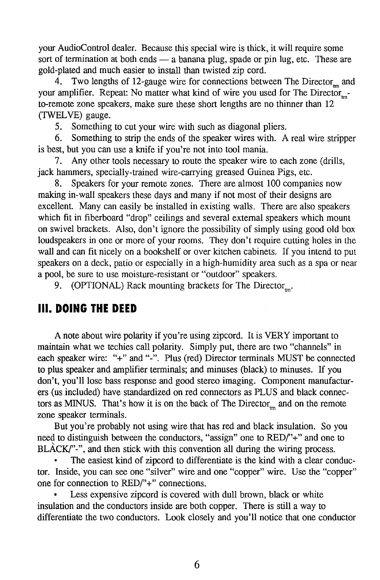your AudioControl dealer. Because this special wire is thick, it will require some sort of termination at both ends  $-$  a banana plug, spade or pin lug, etc. These are gold-plated and much easier to install than twisted zip cord.

4. Two lengths of 12-gauge wire for connections between The Director<sub>m</sub> and your amplifier. Repeat: No matter what kind of wire you used for The Director to-remote zone speakers, make sure these short lengths are no thinner than 12 (TWELVE) gauge.

5. Something to cut your wire with such as diagonal pliers.

6. Something to strip the ends of the speaker wires with. A real wire stripper is best, but you can use a knife if you're not into tool mania.

7. Any other tools necessary to route the speaker wire to each zone (drills, jack hammers, specially-trained wire-carrying greased Guinea Pigs, etc.

8. Speakers for your remote zones. There are almost 100 companies now making in-wall speakers these days and many if not most of their designs are excellent. Many can easily be installed in existing walls. There are also speakers which fit in fiberboard "drop" ceilings and several external speakers which mount on swivel brackets. Also, don't ignore the possibility of simply using good old box loudspeakers in one or more of your rooms. They don't require cutting holes in the wall and can fit nicely on a bookshelf or over kitchen cabinets. If you intend to put speakers on a deck, patio or especially in a high-humidity area such as a spa or near a pool, be sure to use moisture-resistant or "outdoor" speakers.

9. (OPTIONAL) Rack mounting brackets for The Director $\mathbf{r}_{\mathbf{m}}$ .

## Ill. **DOING THE DEED**

A note about wire polarity if you 're using zipcord. It is VERY important to maintain what we techies call polarity. Simply put, there are two "channels" in each speaker wire: "+" and "-". Plus (red) Director terminals MUST be connected to plus speaker and amplifier terminals; and minuses (black) to minuses. If you don't, you'll lose bass response and good stereo imaging. Component manufacturers (us included) have standardized on red connectors as PLUS and black connectors as MINUS. That's how it is on the back of The Director<sub>m</sub> and on the remote zone speaker terminals.

But you're probably not using wire that has red and black insulation. So you need to distinguish between the conductors, "assign" one to RED('+" and one to  $BLACK$ " $\cdot$ ", and then stick with this convention all during the wiring process.

The easiest kind of zipcord to differentiate is the kind with a clear conductor. Inside, you can see one "silver" wire and one "copper" wire. Use the "copper" one for connection to RED('+" connections.

Less expensive zipcord is covered with dull brown, black or white insulation and the conductors inside are both copper. There is still a way to differentiate the two conductors. Look closely and you'll notice that one conductor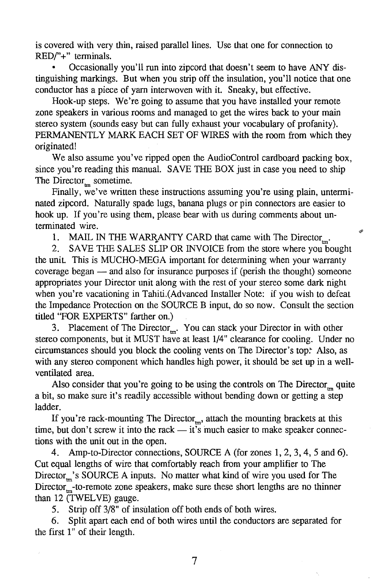is covered with very thin, raised parallel lines. Use that one for connection to *RED('+"* terminals.

Occasionally you'll run into zipcord that doesn't seem to have ANY distinguishing markings. But when you strip off the insulation, you'll notice that one conductor has a piece of yarn interwoven with it. Sneaky, but effective.

Hook-up steps. We're going to assume that you have installed your remote zone speakers in various rooms and managed to get the wires back to your main stereo system (sounds easy but can fully exhaust your vocabulary of profanity). PERMANENTLY MARK EACH SET OF WIRES with the room from which they originated!

We also assume you've ripped open the AudioControl cardboard packing box, since you're reading this manual. SAVE THE BOX just in case you need to ship The Director<sub>m</sub> sometime.

Finally, we've written these instructions assuming you're using plain, unterminated zipcord. Naturally spade lugs, banana plugs or pin connectors are easier to hook up. If you're using them, please bear with us during comments about unterminated wire.

œ

1. MAIL IN THE WARRANTY CARD that came with The Director<sub>m</sub>.

2. SAVE THE SALES SLIP OR INVOICE from the store where you bought the unit. This is MUCHO-MEGA important for determining when your warranty coverage began - and also for insurance purposes if (perish the thought) someone appropriates your Director unit along with the rest of your stereo some dark night when you're vacationing in Tahiti.(Advanced Installer Note: if you wish to defeat the Impedance Protection on the SOURCE B input, do so now. Consult the section titled "FOR EXPERTS" farther on.)

3. Placement of The Director $_{\rm mr}$ . You can stack your Director in with other stereo components, but it MUST have at least 1/4" clearance for cooling. Under no circumstances should you block the cooling vents on The Director's top~ Also, as with any stereo component which handles high power, it should be set up in a wellventilated area.

Also consider that you're going to be using the controls on The Director<sub>m</sub> quite a bit, so make sure it's readily accessible without bending down or getting a step ladder.

If you're rack-mounting The Director $<sub>mn</sub>$ , attach the mounting brackets at this</sub> time, but don't screw it into the rack  $-$  it's much easier to make speaker connections with the unit out in the open.

4. Amp-to-Director connections, SOURCE A (for zones 1, 2, 3, 4, 5 and 6). Cut equal lengths of wire that comfortably reach from your amplifier to The Director<sub>m</sub>'s SOURCE A inputs. No matter what kind of wire you used for The  $Director_{\text{m}}$ -to-remote zone speakers, make sure these short lengths are no thinner than 12 (TWELVE) gauge.

5. Strip off 3/8" of insulation off both ends of both wires.

6. Split apart each end of both wires until the conductors are separated for the first 1" of their length.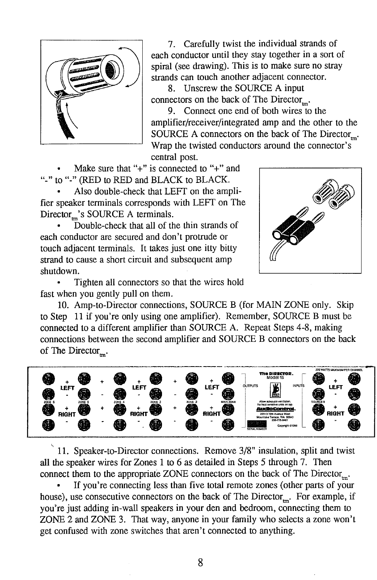

7. Carefully twist the individual strands of each conductor until they stay together in a sort of spiral (see drawing). This is to make sure no stray strands can touch another adjacent connector.

8. Unscrew the SOURCE A input connectors on the back of The Director $\ldots$ .

9. Connect one end of both wires to the amplifier/receiver/integrated amp and the other to the SOURCE A connectors on the back of The Director $\ldots$ . Wrap the twisted conductors around the connector's central post.

Make sure that " $+$ " is connected to " $+$ " and "-" to "-" (RED to RED and BLACK to BLACK.

Also double-check that LEFT on the amplifier speaker terminals corresponds with LEFT on The  $Directory$ 's SOURCE A terminals.

Double-check that all of the thin strands of each conductor are secured and don't protrude or touch adjacent terminals. It takes just one itty bitty strand to cause a short circuit and subsequent amp shutdown.



Tighten all connectors so that the wires hold fast when you gently pull on them.

10. Amp-to-Director connections, SOURCE B (for MAIN ZONE only. Skip to Step 11 if you're only using one amplifier). Remember, SOURCE B must be connected to a different amplifier than SOURCE A. Repeat Steps 4-8, making connections between the second amplifier and SOURCE B connectors on the back of The Director<sub>m</sub>.



11. Speaker-to-Director connections. Remove 3/8" insulation, split and twist all the speaker wires for Zones 1 to 6 as detailed in Steps 5 through 7. Then connect them to the appropriate ZONE connectors on the back of The Director<sub>m</sub>.

If you're connecting less than five total remote zones (other parts of your house), use consecutive connectors on the back of The Director<sub>m</sub>. For example, if you're just adding in-wall speakers in your den and bedroom, connecting them to ZONE 2 and ZONE 3. That way, anyone in your family who selects a zone won't get confused with zone switches that aren't connected to anything.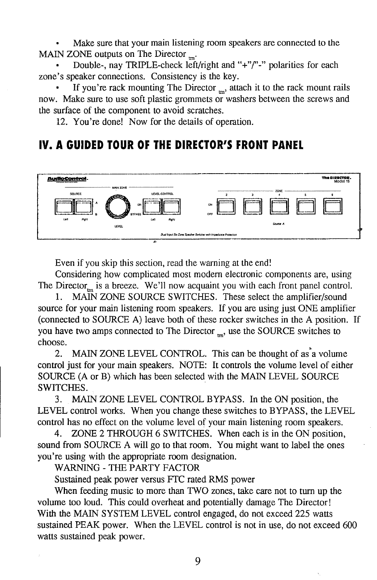Make sure that your main listening room speakers are connected to the MAIN ZONE outputs on The Director  $\mathbf{r}_{\mathbf{m}}$ .

Double-, nay TRIPLE-check left/right and "+" $/$ "-" polarities for each zone's speaker connections. Consistency is the key.

If you're rack mounting The Director  $_m$ , attach it to the rack mount rails now. Make sure to use soft plastic grommets or washers between the screws and the surface of the component to avoid scratches.

12. You're done! Now for the details of operation.

# **IV. A GUIDED TOUR OF THE DIRECTOR'S FRONT PANEL**



Even if you skip this section, read the warning at the end!

Considering how complicated most modern electronic components are, using The Director<sub>c</sub> is a breeze. We'll now acquaint you with each front panel control.

I. MAIN ZONE SOURCE SWITCHES. These select the amplifier/sound source for your main listening room speakers. If you are using just ONE amplifier (connected to SOURCE A) leave both of these rocker switches in the A position. If you have two amps connected to The Director  $\ldots$ , use the SOURCE switches to choose.

2. MAIN ZONE LEVEL CONTROL. This can be thought of as a volume control just for your main speakers. NOTE: It controls the volume level of either SOURCE (A or B) which has been selected with the MAIN LEVEL SOURCE SWITCHES.

3. MAIN ZONE LEVEL CONTROL BYPASS. In the ON position, the LEVEL control works. When you change these switches to BYPASS, the LEVEL control has no effect on the volume level of your main listening room speakers.

4. ZONE 2 THROUGH 6 SWITCHES. When each is in the ON position, sound from SOURCE A will go to that room. You might want to label the ones you're using with the appropriate room designation.

WARNING-THE PARTY FACTOR

Sustained peak power versus FTC rated RMS power

When feeding music to more than TWO zones, take care not to turn up the volume too loud. This could overheat and potentially damage The Director! With the MAIN SYSTEM LEVEL control engaged, do not exceed 225 watts sustained PEAK power. When the LEVEL control is not in use, do not exceed 600 watts sustained peak power.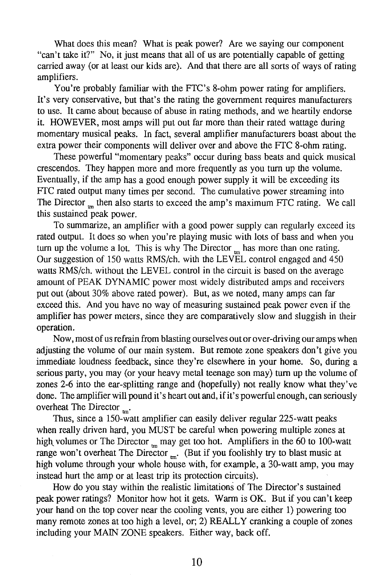What does this mean? What is peak power? Are we saying our component "can't take it?" No, it just means that all of us are potentially capable of getting carried away (or at least our kids are). And that there are all sorts of ways of rating amplifiers.

You're probably familiar with the FTC's 8-ohm power rating for amplifiers. It's very conservative, but that's the rating the government requires manufacturers to use. It came about because of abuse in rating methods, and we heartily endorse it. HOWEVER, most amps will put out far more than their rated wattage during momentary musical peaks. In fact, several amplifier manufacturers boast about the extra power their components will deliver over and above the FTC 8-ohm rating.

These powerful "momentary peaks" occur during bass beats and quick musical crescendos. They happen more and more frequently as you tum up the volume. Eventually, if the amp has a good enough power supply it will be exceeding its FTC rated output many times per second. The cumulative power streaming into The Director <sub>m</sub> then also starts to exceed the amp's maximum FTC rating. We call this sustained peak power.

To summarize, an amplifier with a good power supply can regularly exceed its rated output. It does so when you're playing music with lots of bass and when you turn up the volume a lot. This is why The Director  $<sub>m</sub>$  has more than one rating.</sub> Our suggestion of 150 watts RMS/ch. with the LEVEL control engaged and 450 watts RMS/ch. without the LEVEL control in the circuit is based on the average amount of PEAK DYNAMIC power most widely distributed amps and receivers put out (about 30% above rated power). But, as we noted, many amps can far exceed this. And you have no way of measuring sustained peak power even if the amplifier has power meters, since they are comparatively slow and sluggish in their operation.

Now, most of us refrain from blasting ourselves out or over-driving our amps when adjusting the volume of our main system. But remote zone speakers don't give you immediate loudness feedback, since they're elsewhere in your home. So, during a serious party, you may (or your heavy metal teenage son may) tum up the volume of zones 2-6 into the ear-splitting range and (hopefully) not really know what they've done. The amplifier will pound it's heart out and, if it's powerful enough, can seriously overheat The Director  $\mathbf{m}$ .

Thus, since a 150-watt amplifier can easily deliver regular 225-watt peaks when really driven hard, you MUST be careful when powering multiple zones at high volumes or The Director  $_{\rm m}$  may get too hot. Amplifiers in the 60 to 100-watt range won't overheat The Director  $\ldots$  (But if you foolishly try to blast music at high volume through your whole house with, for example, a 30-watt amp, you may instead hurt the amp or at least trip its protection circuits).

How do you stay within the realistic limitations of The Director's sustained peak power ratings? Monitor how hot it gets. Warm is OK. But if you can't keep your hand on the top cover near the cooling vents, you are either 1) powering too many remote zones at too high a level, or; 2) REALLY cranking a couple of zones including your MAIN ZONE speakers. Either way, back off.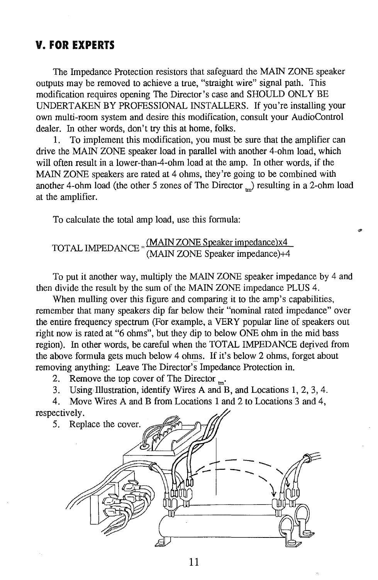#### **V. FOR EXPERTS**

The Impedance Protection resistors that safeguard the MAIN ZONE speaker outputs may be removed to achieve a true, "straight wire" signal path. This modification requires opening The Director's case and SHOULD ONLY BE UNDERTAKEN BY PROFESSIONAL INSTALLERS. If you're installing your own multi-room system and desire this modification, consult your AudioControl dealer. In other words, don't try this at home, folks.

1. To implement this modification, you must be sure that the amplifier can drive the MAIN ZONE speaker load in parallel with another 4-ohm load, which will often result in a lower-than-4-ohm load at the amp. In other words, if the MAIN ZONE speakers are rated at 4 ohms, they're going to be combined with another 4-ohm load (the other 5 zones of The Director  $\Box$ ) resulting in a 2-ohm load at the amplifier.

To calculate the total amp load, use this formula:

#### TOT AL IMPED ANCE = <sup>(MAIN</sup> ZONE Speaker impedance)x4 (MAIN ZONE Speaker impedance)+4

To put it another way, multiply the MAIN ZONE speaker impedance by 4 and then divide the result by the sum of the MAIN ZONE impedance PLUS 4.

When mulling over this figure and comparing it to the amp's capabilities, remember that many speakers dip far below their "nominal rated impedance" over the entire frequency spectrum (For example, a VERY popular line of speakers out right now is rated at "6 ohms", but they dip to below ONE ohm in the mid bass region). In other words, be careful when the TOTAL IMPEDANCE depved from the above formula gets much below 4 ohms. If it's below 2 ohms, forget about removing anything: Leave The Director's Impedance Protection in.

2. Remove the top cover of The Director  $\mathbf{m}$ .

3. Using Illustration, identify Wires A and B, and Locations 1, 2, 3, 4.

4. Move Wires A and B from Locations 1 and 2 to Locations 3 and 4, respectively.

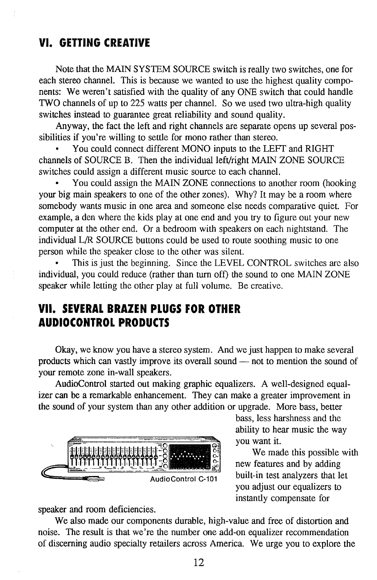## **VI. GETTING CREATIVE**

Note that the MAIN SYSTEM SOURCE switch is really two switches, one for each stereo channel. This is because we wanted to use the highest quality components: We weren't satisfied with the quality of any ONE switch that could handle TWO channels of up to 225 watts per channel. So we used two ultra-high quality switches instead to guarantee great reliability and sound quality.

Anyway, the fact the left and right channels are separate opens up several possibilities if you're willing to settle for mono rather than stereo.

You could connect different MONO inputs to the LEFT and RIGHT channels of SOURCE B. Then the individual left/right MAIN ZONE SOURCE switches could assign a different music source to each channel.

You could assign the MAIN ZONE connections to another room (hooking your big main speakers to one of the other zones). Why? It may be a room where somebody wants music in one area and someone else needs comparative quiet. For example, a den where the kids play at one end and you try to figure out your new computer at the other end. Or a bedroom with speakers on each nightstand. The individual L/R SOURCE buttons could be used to route soothing music to one person while the speaker close to the other was silent.

This is just the beginning. Since the LEVEL CONTROL switches are also individual, you could reduce (rather than tum off) the sound to one MAIN ZONE speaker while letting the other play at full volume. Be creative.

# **VII. SEVERAL BRAZEN PLUGS FOR OTHER AUDIOCONTROL PRODUCTS**

Okay, we know you have a stereo system. And we just happen to make several products which can vastly improve its overall sound — not to mention the sound of your remote zone in-wall speakers.

AudioControl started out making graphic equalizers. A well-designed equalizer can be a remarkable enhancement. They can make a greater improvement in the sound of your system than any other addition or upgrade. More bass, better



bass, less harshness and the ability to hear music the way you want it.

We made this possible with new features and by adding built-in test analyzers that let you adjust our equalizers to instantly compensate for

speaker and room deficiencies.

We also made our components durable, high-value and free of distortion and noise. The result is that we're the number one add-on equalizer recommendation of discerning audio specialty retailers across America. We urge you to explore the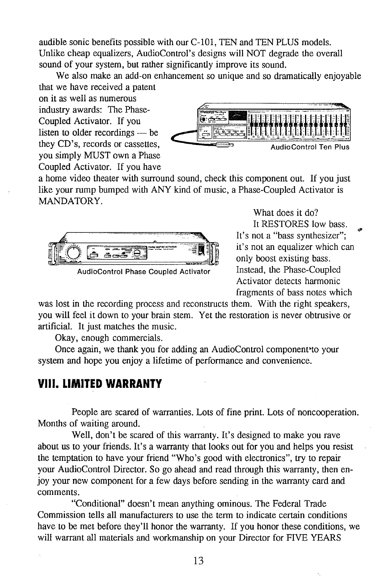audible sonic benefits possible with our C-101, TEN and TEN PLUS models. Unlike cheap equalizers, AudioControl's designs will NOT degrade the overall sound of your system, but rather significantly improve its sound.

We also make an add-on enhancement so unique and so dramatically enjoyable that we have received a patent

on it as well as numerous industry awards: The Phase-Coupled Activator. If you listen to older recordings  $-$  be you simply MUST own a Phase Coupled Activator. If you have



a home video theater with surround sound, check this component out. If you just like your rump bumped with ANY kind of music, a Phase-Coupled Activator is MANDATORY.



AudioControl Phase Coupled Activator

What does it do? It RESTORES low bass. It's not a "bass synthesizer"; it's not an equalizer which can only boost existing bass. Instead, the Phase-Coupled Activator detects harmonic fragments of bass notes which

was lost in the recording process and reconstructs them. With the right speakers, you will feel it down to your brain stem. Yet the restoration is never obtrusive or artificial. It just matches the music.

Okay, enough commercials.

Once again, we thank you for adding an AudioControl component•to your system and hope you enjoy a lifetime of performance and convenience.

## VIII. **LIMITED WARRANTY**

People are scared of warranties. Lots of fine print. Lots of noncooperation. Months of waiting around.

Well, don't be scared of this warranty. It's designed to make you rave about us to your friends. It's a warranty that looks out for you and helps you resist the temptation to have your friend "Who's good with electronics", try to repair your AudioControl Director. So go ahead and read through this warranty, then enjoy your new component for a few days before sending in the warranty card and comments.

"Conditional" doesn't mean anything ominous. The Federal Trade Commission tells all manufacturers to use the term to indicate certain conditions have to be met before they'll honor the warranty. If you honor these conditions, we will warrant all materials and workmanship on your Director for FIVE YEARS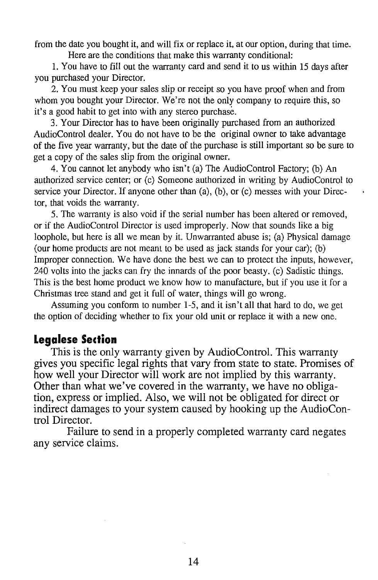from the date you bought it, and will fix or replace it, at our option, during that time. Here are the conditions that make this warranty conditional:

1. You have to fill out the warranty card and send it to us within 15 days after you purchased your Director.

2. You must keep your sales slip or receipt so you have proof when and from whom you bought your Director. We're not the only company to require this, so it's a good habit to get into with any stereo purchase.

3. Your Director has to have been originally purchased from an authorized AudioControl dealer. You do not have to be the original owner to take advantage of the five year warranty, but the date of the purchase is still important so be sure to get a copy of the sales slip from the original owner.

4. You cannot let anybody who isn't (a) The AudioControl Factory; (b) An authorized service center; or (c) Someone authorized in writing by AudioControl to service your Director. If anyone other than (a), (b), or (c) messes with your Director, that voids the warranty.

5. The warranty is also void if the serial number has been altered or removed, or if the AudioControl Director is used improperly. Now that sounds like a big loophole, but here is all we mean by it. Unwarranted abuse is; (a) Physical damage (our home products are not meant to be used as jack stands for your car); (b) Improper connection. We have done the best we can to protect the inputs, however, 240 volts into the jacks can fry the innards of the poor beasty. (c) Sadistic things. This is the best home product we know how to manufacture, but if you use it for a Christmas tree stand and gel it full of water, things will go wrong.

Assuming you conform to number 1-5, and it isn't all that hard to do, we get the option of deciding whether to fix your old unit or replace it with a new one.

## **legalese Section**

This is the only warranty given by AudioControl. This warranty gives you specific legal rights that vary from state to state. Promises of how well your Director will work are not implied by this warranty. Other than what we've covered in the warranty, we have no obligation, express or implied. Also, we will not be obligated for direct or indirect damages to your system caused by hooking up the AudioControl Director.

Failure to send in a properly completed warranty card negates any service claims.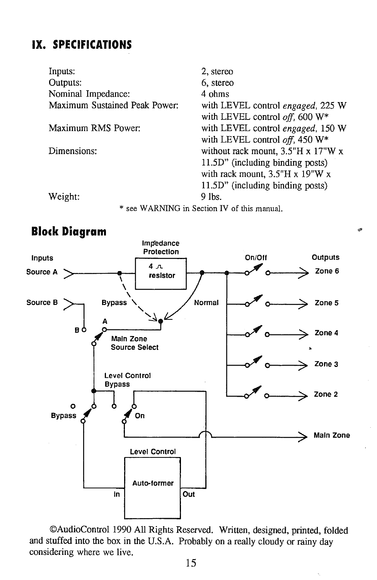# IX. **SPECIFICATIONS**

Inputs: Outputs: Nominal Impedance: Maximum Sustained Peak Power: Maximum RMS Power: Dimensions: Weight: 2, stereo 6, stereo 4 ohms with LEVEL control *engaged,* 225 W with LEVEL control *off.* 600 W\* with LEVEL control *engaged,* 150 W with LEVEL control *off,* 450 W\* without rack mount,  $3.5$ "H x  $17$ "W x l l.5D" (including binding posts) with rack mount, 3.S"H x 19"W x 11.5D" (including binding posts) 9 lbs. \* see WARNING in Section IV of this manual.



©AudioControl 1990 All Rights Reserved. Written, designed, printed, folded and stuffed into the box in the U.S.A. Probably on a really cloudy or rainy day considering where we live.

# **Block Diagram**